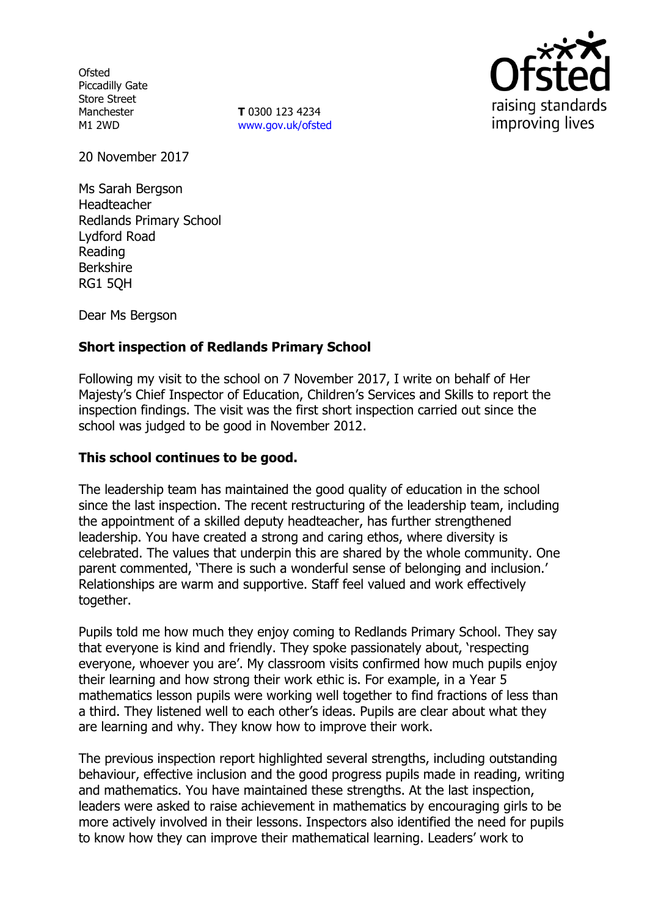**Ofsted** Piccadilly Gate Store Street Manchester M1 2WD

**T** 0300 123 4234 www.gov.uk/ofsted



20 November 2017

Ms Sarah Bergson Headteacher Redlands Primary School Lydford Road Reading Berkshire RG1 5QH

Dear Ms Bergson

# **Short inspection of Redlands Primary School**

Following my visit to the school on 7 November 2017, I write on behalf of Her Majesty's Chief Inspector of Education, Children's Services and Skills to report the inspection findings. The visit was the first short inspection carried out since the school was judged to be good in November 2012.

### **This school continues to be good.**

The leadership team has maintained the good quality of education in the school since the last inspection. The recent restructuring of the leadership team, including the appointment of a skilled deputy headteacher, has further strengthened leadership. You have created a strong and caring ethos, where diversity is celebrated. The values that underpin this are shared by the whole community. One parent commented, 'There is such a wonderful sense of belonging and inclusion.' Relationships are warm and supportive. Staff feel valued and work effectively together.

Pupils told me how much they enjoy coming to Redlands Primary School. They say that everyone is kind and friendly. They spoke passionately about, 'respecting everyone, whoever you are'. My classroom visits confirmed how much pupils enjoy their learning and how strong their work ethic is. For example, in a Year 5 mathematics lesson pupils were working well together to find fractions of less than a third. They listened well to each other's ideas. Pupils are clear about what they are learning and why. They know how to improve their work.

The previous inspection report highlighted several strengths, including outstanding behaviour, effective inclusion and the good progress pupils made in reading, writing and mathematics. You have maintained these strengths. At the last inspection, leaders were asked to raise achievement in mathematics by encouraging girls to be more actively involved in their lessons. Inspectors also identified the need for pupils to know how they can improve their mathematical learning. Leaders' work to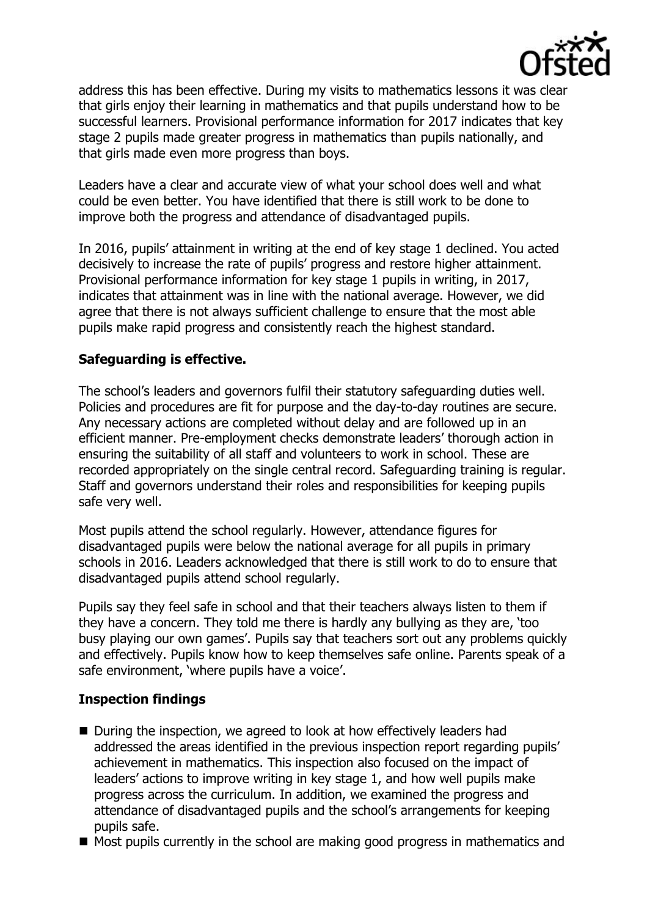

address this has been effective. During my visits to mathematics lessons it was clear that girls enjoy their learning in mathematics and that pupils understand how to be successful learners. Provisional performance information for 2017 indicates that key stage 2 pupils made greater progress in mathematics than pupils nationally, and that girls made even more progress than boys.

Leaders have a clear and accurate view of what your school does well and what could be even better. You have identified that there is still work to be done to improve both the progress and attendance of disadvantaged pupils.

In 2016, pupils' attainment in writing at the end of key stage 1 declined. You acted decisively to increase the rate of pupils' progress and restore higher attainment. Provisional performance information for key stage 1 pupils in writing, in 2017, indicates that attainment was in line with the national average. However, we did agree that there is not always sufficient challenge to ensure that the most able pupils make rapid progress and consistently reach the highest standard.

# **Safeguarding is effective.**

The school's leaders and governors fulfil their statutory safeguarding duties well. Policies and procedures are fit for purpose and the day-to-day routines are secure. Any necessary actions are completed without delay and are followed up in an efficient manner. Pre-employment checks demonstrate leaders' thorough action in ensuring the suitability of all staff and volunteers to work in school. These are recorded appropriately on the single central record. Safeguarding training is regular. Staff and governors understand their roles and responsibilities for keeping pupils safe very well.

Most pupils attend the school regularly. However, attendance figures for disadvantaged pupils were below the national average for all pupils in primary schools in 2016. Leaders acknowledged that there is still work to do to ensure that disadvantaged pupils attend school regularly.

Pupils say they feel safe in school and that their teachers always listen to them if they have a concern. They told me there is hardly any bullying as they are, 'too busy playing our own games'. Pupils say that teachers sort out any problems quickly and effectively. Pupils know how to keep themselves safe online. Parents speak of a safe environment, 'where pupils have a voice'.

# **Inspection findings**

- During the inspection, we agreed to look at how effectively leaders had addressed the areas identified in the previous inspection report regarding pupils' achievement in mathematics. This inspection also focused on the impact of leaders' actions to improve writing in key stage 1, and how well pupils make progress across the curriculum. In addition, we examined the progress and attendance of disadvantaged pupils and the school's arrangements for keeping pupils safe.
- $\blacksquare$  Most pupils currently in the school are making good progress in mathematics and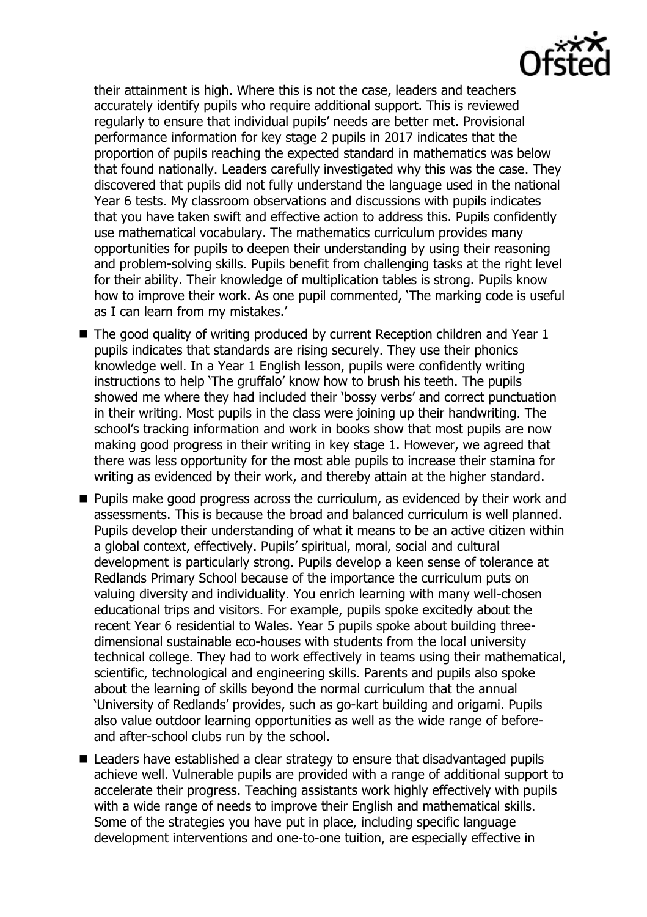their attainment is high. Where this is not the case, leaders and teachers accurately identify pupils who require additional support. This is reviewed regularly to ensure that individual pupils' needs are better met. Provisional performance information for key stage 2 pupils in 2017 indicates that the proportion of pupils reaching the expected standard in mathematics was below that found nationally. Leaders carefully investigated why this was the case. They discovered that pupils did not fully understand the language used in the national Year 6 tests. My classroom observations and discussions with pupils indicates that you have taken swift and effective action to address this. Pupils confidently use mathematical vocabulary. The mathematics curriculum provides many opportunities for pupils to deepen their understanding by using their reasoning and problem-solving skills. Pupils benefit from challenging tasks at the right level for their ability. Their knowledge of multiplication tables is strong. Pupils know how to improve their work. As one pupil commented, 'The marking code is useful as I can learn from my mistakes.'

- $\blacksquare$  The good quality of writing produced by current Reception children and Year 1 pupils indicates that standards are rising securely. They use their phonics knowledge well. In a Year 1 English lesson, pupils were confidently writing instructions to help 'The gruffalo' know how to brush his teeth. The pupils showed me where they had included their 'bossy verbs' and correct punctuation in their writing. Most pupils in the class were joining up their handwriting. The school's tracking information and work in books show that most pupils are now making good progress in their writing in key stage 1. However, we agreed that there was less opportunity for the most able pupils to increase their stamina for writing as evidenced by their work, and thereby attain at the higher standard.
- **Pupils make good progress across the curriculum, as evidenced by their work and** assessments. This is because the broad and balanced curriculum is well planned. Pupils develop their understanding of what it means to be an active citizen within a global context, effectively. Pupils' spiritual, moral, social and cultural development is particularly strong. Pupils develop a keen sense of tolerance at Redlands Primary School because of the importance the curriculum puts on valuing diversity and individuality. You enrich learning with many well-chosen educational trips and visitors. For example, pupils spoke excitedly about the recent Year 6 residential to Wales. Year 5 pupils spoke about building threedimensional sustainable eco-houses with students from the local university technical college. They had to work effectively in teams using their mathematical, scientific, technological and engineering skills. Parents and pupils also spoke about the learning of skills beyond the normal curriculum that the annual 'University of Redlands' provides, such as go-kart building and origami. Pupils also value outdoor learning opportunities as well as the wide range of beforeand after-school clubs run by the school.
- Leaders have established a clear strategy to ensure that disadvantaged pupils achieve well. Vulnerable pupils are provided with a range of additional support to accelerate their progress. Teaching assistants work highly effectively with pupils with a wide range of needs to improve their English and mathematical skills. Some of the strategies you have put in place, including specific language development interventions and one-to-one tuition, are especially effective in